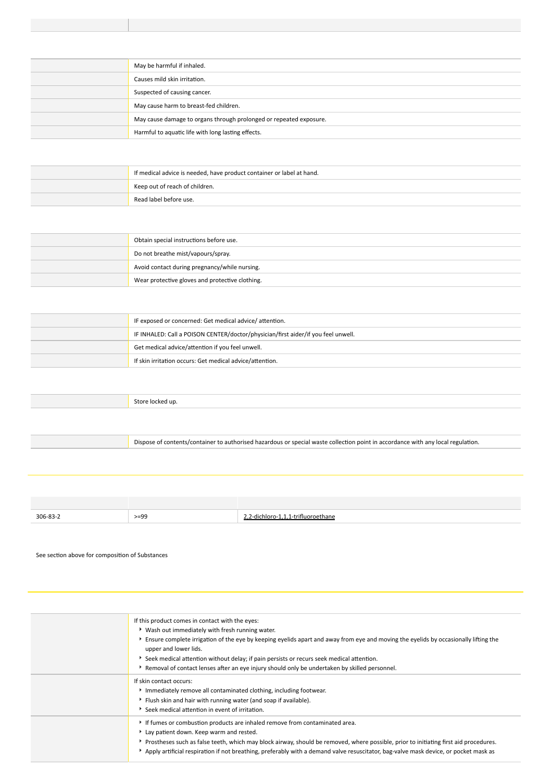# **Hazard statement(s)**

| .    |                                                                    |
|------|--------------------------------------------------------------------|
| H333 | May be harmful if inhaled.                                         |
| H316 | Causes mild skin irritation.                                       |
| H351 | Suspected of causing cancer.                                       |
| H362 | May cause harm to breast-fed children.                             |
| H373 | May cause damage to organs through prolonged or repeated exposure. |
| H412 | Harmful to aquatic life with long lasting effects.                 |

# Precaut onary statement(s) General

| P101             | If medical advice is needed, have product container or label at hand. |
|------------------|-----------------------------------------------------------------------|
|                  | P102   Keep out of reach of children.                                 |
| P <sub>103</sub> | Read label before use.                                                |

# Precaut onary statement(s) Prevent on

| P <sub>201</sub> | Obtain special instructions before use.         |
|------------------|-------------------------------------------------|
| P <sub>260</sub> | Do not breathe mist/vapours/spray.              |
| P <sub>263</sub> | Avoid contact during pregnancy/while nursing.   |
| P <sub>280</sub> | Wear protective gloves and protective clothing. |

# Precaut onary statement(s) Response

| P308+P313 | IF exposed or concerned: Get medical advice/attention.                            |
|-----------|-----------------------------------------------------------------------------------|
| P304+P312 | IF INHALED: Call a POISON CENTER/doctor/physician/first aider/if you feel unwell. |
| P314      | Get medical advice/attention if you feel unwell.                                  |
| P332+P313 | If skin irritation occurs: Get medical advice/attention.                          |

# Precaut onary statement(s) Storage

| DAO |  |
|-----|--|
|     |  |

# Precaut onary statement(s) Disposal

**P501** Dispose of contents/container to authorised hazardous or special waste collection point in accordance with any local regulation.

# **SECTION 3 Composition / information on ingredients**

## **Substances**

| <b>CAS No</b> | %[Mejaht | Name                               |
|---------------|----------|------------------------------------|
| 306-83-2<br>. | $>= 99$  | -dichloro-1<br>.hane<br>$-trithin$ |

## **Mixtures**

See section above for composition of Substances

# **SECTION 4 First aid measures**

# **Descript on of first aid measures**

| Eye Contact         | If this product comes in contact with the eyes:<br>Wash out immediately with fresh running water.<br>Ensure complete irrigation of the eye by keeping eyelids apart and away from eye and moving the eyelids by occasionally lifting the<br>upper and lower lids.<br>Seek medical attention without delay; if pain persists or recurs seek medical attention.<br>Removal of contact lenses after an eye injury should only be undertaken by skilled personnel. |
|---------------------|----------------------------------------------------------------------------------------------------------------------------------------------------------------------------------------------------------------------------------------------------------------------------------------------------------------------------------------------------------------------------------------------------------------------------------------------------------------|
| <b>Skin Contact</b> | If skin contact occurs:<br>Immediately remove all contaminated clothing, including footwear.<br>Flush skin and hair with running water (and soap if available).<br>Seek medical attention in event of irritation.                                                                                                                                                                                                                                              |
| Inhalat on          | If fumes or combustion products are inhaled remove from contaminated area.<br>Lay patient down. Keep warm and rested.<br>Prostheses such as false teeth, which may block airway, should be removed, where possible, prior to initiating first aid procedures.<br>$\star$ Apply artificial respiration if not breathing, preferably with a demand valve resuscitator, bag-valve mask device, or pocket mask as                                                  |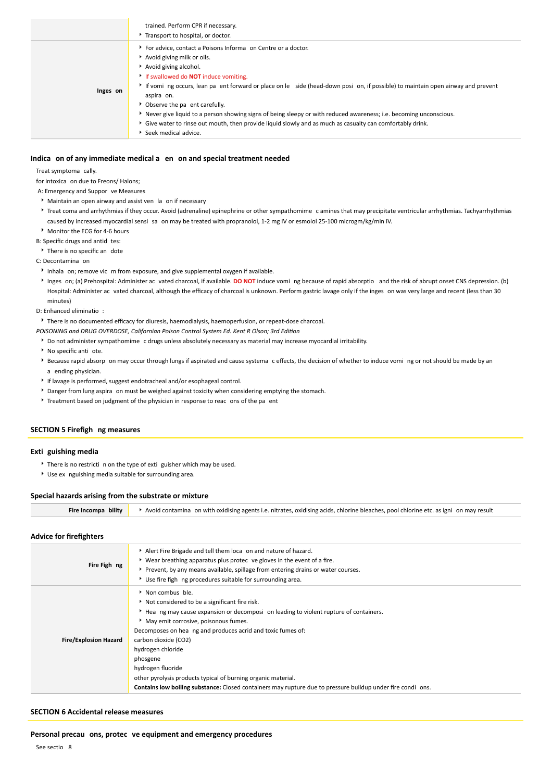|          | trained. Perform CPR if necessary.<br>Transport to hospital, or doctor.                                                                                                                                                                                                                                                                                                                                                                                                                                                                                                                                         |
|----------|-----------------------------------------------------------------------------------------------------------------------------------------------------------------------------------------------------------------------------------------------------------------------------------------------------------------------------------------------------------------------------------------------------------------------------------------------------------------------------------------------------------------------------------------------------------------------------------------------------------------|
| Inges on | For advice, contact a Poisons Informa on Centre or a doctor.<br>Avoid giving milk or oils.<br>Avoid giving alcohol.<br>If swallowed do <b>NOT</b> induce vomiting.<br>If voming occurs, lean parent forward or place on least chead-down position, if possible) to maintain open airway and prevent<br>aspira on.<br>• Observe the pa ent carefully.<br>Never give liquid to a person showing signs of being sleepy or with reduced awareness; i.e. becoming unconscious.<br>• Give water to rinse out mouth, then provide liquid slowly and as much as casualty can comfortably drink.<br>Seek medical advice. |

### **Indica on of any immediate medical a en on and special treatment needed**

Treat symptoma cally.

for intoxica on due to Freons/ Halons;

A: Emergency and Suppor ve Measures

- Maintain an open airway and assist ven la on if necessary
- Treat coma and arrhythmias if they occur. Avoid (adrenaline) epinephrine or other sympathomime c amines that may precipitate ventricular arrhythmias. Tachyarrhythmias caused by increased myocardial sensi sa on may be treated with propranolol, 1-2 mg IV or esmolol 25-100 microgm/kg/min IV. Monitor the ECG for 4-6 hours

B: Specific drugs and antid tes:

There is no specific an dote

C: Decontamina on

- Inhala on; remove vic m from exposure, and give supplemental oxygen if available.
- Inges on; (a) Prehospital: Administer ac vated charcoal, if available. **DO NOT** induce vomi ng because of rapid absorptio and the risk of abrupt onset CNS depression. (b) Hospital: Administer ac vated charcoal, although the efficacy of charcoal is unknown. Perform gastric lavage only if the inges on was very large and recent (less than 30 minutes)

D: Enhanced eliminatio :

There is no documented efficacy for diuresis, haemodialysis, haemoperfusion, or repeat-dose charcoal.

*POISONING and DRUG OVERDOSE, Californian Poison Control System Ed. Kent R Olson; 3rd Edition*

- Do not administer sympathomime c drugs unless absolutely necessary as material may increase myocardial irritability.
- No specific anti ote.
- Because rapid absorp on may occur through lungs if aspirated and cause systema c effects, the decision of whether to induce vomi ng or not should be made by an a ending physician.
- If lavage is performed, suggest endotracheal and/or esophageal control.
- Danger from lung aspira on must be weighed against toxicity when considering emptying the stomach.
- Treatment based on judgment of the physician in response to reac ons of the pa ent

## **SECTION 5 Firefigh ng measures**

### **Exti guishing media**

- There is no restricti n on the type of exti guisher which may be used.
- Use ex nguishing media suitable for surrounding area.

#### **Special hazards arising from the substrate or mixture**

**Fire Incompa bility k** Avoid contamina on with oxidising agents i.e. nitrates, oxidising acids, chlorine bleaches, pool chlorine etc. as igni on may result

### **Advice for firefighters**

| Fire Figh ng                 | Alert Fire Brigade and tell them loca on and nature of hazard.<br>• Wear breathing apparatus plus protec ve gloves in the event of a fire.<br>Prevent, by any means available, spillage from entering drains or water courses.<br>Use fire figh ng procedures suitable for surrounding area.                                                                                                                                                                                                                                  |
|------------------------------|-------------------------------------------------------------------------------------------------------------------------------------------------------------------------------------------------------------------------------------------------------------------------------------------------------------------------------------------------------------------------------------------------------------------------------------------------------------------------------------------------------------------------------|
| <b>Fire/Explosion Hazard</b> | Non combus ble.<br>Not considered to be a significant fire risk.<br>Hea ng may cause expansion or decomposi on leading to violent rupture of containers.<br>May emit corrosive, poisonous fumes.<br>Decomposes on hea ng and produces acrid and toxic fumes of:<br>carbon dioxide (CO2)<br>hydrogen chloride<br>phosgene<br>hydrogen fluoride<br>other pyrolysis products typical of burning organic material.<br>Contains low boiling substance: Closed containers may rupture due to pressure buildup under fire condi ons. |

### **SECTION 6 Accidental release measures**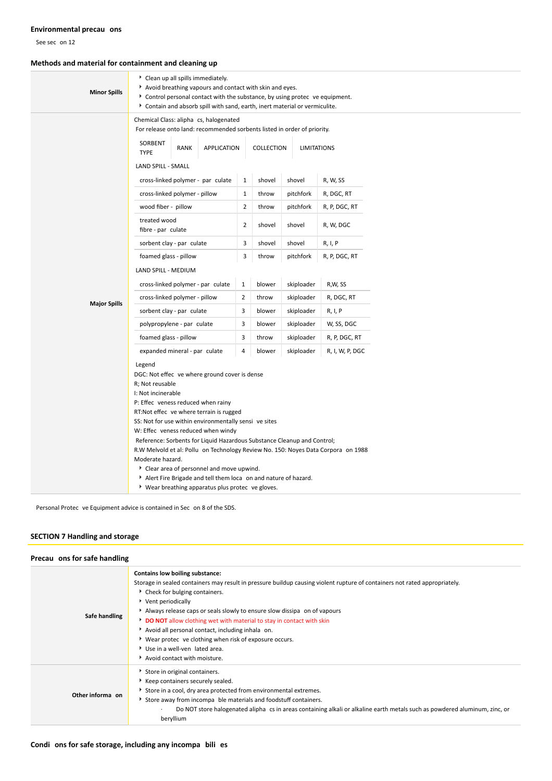# **Environmental precau ons**

See sec on 12

# **Methods and material for containment and cleaning up**

| <b>Minor Spills</b> | Clean up all spills immediately.<br>Avoid breathing vapours and contact with skin and eyes.<br>Control personal contact with the substance, by using protec ve equipment.<br>Contain and absorb spill with sand, earth, inert material or vermiculite.                           |                |        |            |                 |  |
|---------------------|----------------------------------------------------------------------------------------------------------------------------------------------------------------------------------------------------------------------------------------------------------------------------------|----------------|--------|------------|-----------------|--|
|                     | Chemical Class: alipha cs, halogenated<br>For release onto land: recommended sorbents listed in order of priority.<br>SORBENT                                                                                                                                                    |                |        |            |                 |  |
|                     | <b>RANK</b><br><b>APPLICATION</b><br>COLLECTION<br><b>LIMITATIONS</b><br><b>TYPE</b><br>LAND SPILL - SMALL                                                                                                                                                                       |                |        |            |                 |  |
|                     | cross-linked polymer - par culate                                                                                                                                                                                                                                                | $\mathbf{1}$   | shovel | shovel     | R, W, SS        |  |
|                     | cross-linked polymer - pillow                                                                                                                                                                                                                                                    | $\mathbf{1}$   | throw  | pitchfork  | R, DGC, RT      |  |
|                     | wood fiber - pillow                                                                                                                                                                                                                                                              | $\overline{2}$ | throw  | pitchfork  | R, P, DGC, RT   |  |
|                     | treated wood<br>fibre - par culate                                                                                                                                                                                                                                               |                | shovel | shovel     | R, W, DGC       |  |
|                     | sorbent clay - par culate                                                                                                                                                                                                                                                        |                | shovel | shovel     | R, I, P         |  |
|                     | foamed glass - pillow                                                                                                                                                                                                                                                            |                | throw  | pitchfork  | R, P, DGC, RT   |  |
|                     | LAND SPILL - MEDIUM                                                                                                                                                                                                                                                              |                |        |            |                 |  |
|                     | cross-linked polymer - par culate                                                                                                                                                                                                                                                |                | blower | skiploader | R,W, SS         |  |
| <b>Major Spills</b> | cross-linked polymer - pillow                                                                                                                                                                                                                                                    |                | throw  | skiploader | R, DGC, RT      |  |
|                     | sorbent clay - par culate                                                                                                                                                                                                                                                        |                | blower | skiploader | R, I, P         |  |
|                     | polypropylene - par culate                                                                                                                                                                                                                                                       |                | blower | skiploader | W, SS, DGC      |  |
|                     | foamed glass - pillow                                                                                                                                                                                                                                                            |                | throw  | skiploader | R, P, DGC, RT   |  |
|                     | expanded mineral - par culate                                                                                                                                                                                                                                                    |                | blower | skiploader | R, I, W, P, DGC |  |
|                     | Legend<br>DGC: Not effec ve where ground cover is dense<br>R; Not reusable<br>I: Not incinerable<br>P: Effec veness reduced when rainy<br>RT:Not effec ve where terrain is rugged<br>SS: Not for use within environmentally sensi ve sites<br>W: Effec veness reduced when windy |                |        |            |                 |  |
|                     | Reference: Sorbents for Liquid Hazardous Substance Cleanup and Control;<br>R.W Melvold et al: Pollu on Technology Review No. 150: Noyes Data Corpora on 1988                                                                                                                     |                |        |            |                 |  |
|                     | Moderate hazard.                                                                                                                                                                                                                                                                 |                |        |            |                 |  |
|                     | Clear area of personnel and move upwind.                                                                                                                                                                                                                                         |                |        |            |                 |  |
|                     | Alert Fire Brigade and tell them loca on and nature of hazard.<br>• Wear breathing apparatus plus protec ve gloves.                                                                                                                                                              |                |        |            |                 |  |
|                     |                                                                                                                                                                                                                                                                                  |                |        |            |                 |  |

Personal Protec ve Equipment advice is contained in Sec on 8 of the SDS.

# **SECTION 7 Handling and storage**

## **Precau ons for safe handling**

| Safe handling    | <b>Contains low boiling substance:</b><br>Storage in sealed containers may result in pressure buildup causing violent rupture of containers not rated appropriately.<br>▶ Check for bulging containers.<br>Vent periodically<br>Always release caps or seals slowly to ensure slow dissipa on of vapours<br><b>DO NOT</b> allow clothing wet with material to stay in contact with skin<br>Avoid all personal contact, including inhala on.<br>▶ Wear protec ve clothing when risk of exposure occurs.<br>Use in a well-ven lated area.<br>Avoid contact with moisture. |
|------------------|-------------------------------------------------------------------------------------------------------------------------------------------------------------------------------------------------------------------------------------------------------------------------------------------------------------------------------------------------------------------------------------------------------------------------------------------------------------------------------------------------------------------------------------------------------------------------|
| Other informa on | Store in original containers.<br>Keep containers securely sealed.<br>Store in a cool, dry area protected from environmental extremes.<br>Store away from incompa ble materials and foodstuff containers.<br>Do NOT store halogenated alipha cs in areas containing alkali or alkaline earth metals such as powdered aluminum, zinc, or<br>beryllium                                                                                                                                                                                                                     |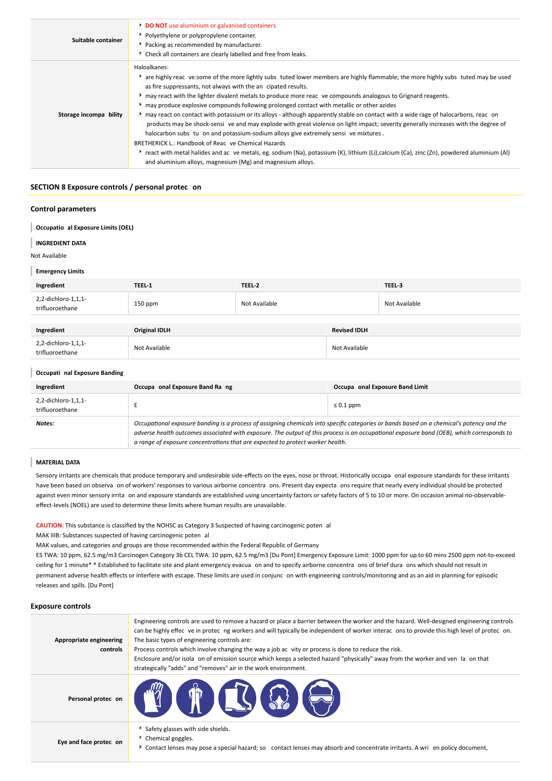| Suitable container     | <b>DO NOT</b> use aluminium or galvanised containers<br>• Polyethylene or polypropylene container.<br>Packing as recommended by manufacturer.<br>Check all containers are clearly labelled and free from leaks.                                                                                                                                                                                                                                                                                                                                                                                                                                                                                                                                                                                                                                                                                                                                                                                                                                                         |
|------------------------|-------------------------------------------------------------------------------------------------------------------------------------------------------------------------------------------------------------------------------------------------------------------------------------------------------------------------------------------------------------------------------------------------------------------------------------------------------------------------------------------------------------------------------------------------------------------------------------------------------------------------------------------------------------------------------------------------------------------------------------------------------------------------------------------------------------------------------------------------------------------------------------------------------------------------------------------------------------------------------------------------------------------------------------------------------------------------|
| Storage incompa bility | Haloalkanes:<br>* are highly reac ve:some of the more lightly subs tuted lower members are highly flammable; the more highly subs tuted may be used<br>as fire suppressants, not always with the an cipated results.<br>► may react with the lighter divalent metals to produce more reac ve compounds analogous to Grignard reagents.<br>may produce explosive compounds following prolonged contact with metallic or other azides<br>may react on contact with potassium or its alloys - although apparently stable on contact with a wide rage of halocarbons, reac on<br>products may be shock-sensi ve and may explode with great violence on light impact; severity generally increases with the degree of<br>halocarbon subs tu on and potassium-sodium alloys give extremely sensive mixtures.<br>BRETHERICK L.: Handbook of Reac ve Chemical Hazards<br>react with metal halides and ac ve metals, eg. sodium (Na), potassium (K), lithium (Li),calcium (Ca), zinc (Zn), powdered aluminium (Al)<br>and aluminium alloys, magnesium (Mg) and magnesium alloys. |

## **SECTION 8 Exposure controls / personal protec on**

## **Control parameters**

|  | Occupatio al Exposure Limits (OEL) |  |
|--|------------------------------------|--|
|--|------------------------------------|--|

## **INGREDIENT DATA**

Not Available

### **Emergency Limits**

| Ingredient                             | TEEL-1               | TEEL-2        |                     | TEEL-3        |
|----------------------------------------|----------------------|---------------|---------------------|---------------|
| 2,2-dichloro-1,1,1-<br>trifluoroethane | 150 ppm              | Not Available |                     | Not Available |
|                                        |                      |               |                     |               |
| Ingredient                             | <b>Original IDLH</b> |               | <b>Revised IDLH</b> |               |
| 2,2-dichloro-1,1,1-<br>trifluoroethane | Not Available        |               | Not Available       |               |

### **Occupati nal Exposure Banding**

| Ingredient                             | Occupa onal Exposure Band Ra ng                                                                                                                                                                                                                                                                                                                                          | Occupa onal Exposure Band Limit |
|----------------------------------------|--------------------------------------------------------------------------------------------------------------------------------------------------------------------------------------------------------------------------------------------------------------------------------------------------------------------------------------------------------------------------|---------------------------------|
| 2,2-dichloro-1,1,1-<br>trifluoroethane |                                                                                                                                                                                                                                                                                                                                                                          | $\leq 0.1$ ppm                  |
| Notes:                                 | Occupational exposure banding is a process of assigning chemicals into specific categories or bands based on a chemical's potency and the<br>adverse health outcomes associated with exposure. The output of this process is an occupational exposure band (OEB), which corresponds to<br>a range of exposure concentrations that are expected to protect worker health. |                                 |

#### **MATERIAL DATA**

Sensory irritants are chemicals that produce temporary and undesirable side-effects on the eyes, nose or throat. Historically occupa onal exposure standards for these irritants have been based on observa on of workers' responses to various airborne concentra ons. Present day expecta ons require that nearly every individual should be protected against even minor sensory irrita on and exposure standards are established using uncertainty factors or safety factors of 5 to 10 or more. On occasion animal no-observableeffect-levels (NOEL) are used to determine these limits where human results are unavailable.

**CAUTION:** This substance is classified by the NOHSC as Category 3 Suspected of having carcinogenic poten al

MAK IIIB: Substances suspected of having carcinogenic poten al

MAK values, and categories and groups are those recommended within the Federal Republic of Germany

ES TWA: 10 ppm, 62.5 mg/m3 Carcinogen Category 3b CEL TWA: 10 ppm, 62.5 mg/m3 [Du Pont] Emergency Exposure Limit: 1000 ppm for up to 60 mins 2500 ppm not-to-exceed ceiling for 1 minute\* \* Established to facilitate site and plant emergency evacua on and to specify airborne concentra ons of brief dura ons which should not result in permanent adverse health effects or interfere with escape. These limits are used in conjunc on with engineering controls/monitoring and as an aid in planning for episodic releases and spills. [Du Pont]

## **Exposure controls**

| Appropriate engineering<br>controls | Engineering controls are used to remove a hazard or place a barrier between the worker and the hazard. Well-designed engineering controls<br>can be highly effec ve in protec ng workers and will typically be independent of worker interac ons to provide this high level of protec on.<br>The basic types of engineering controls are:<br>Process controls which involve changing the way a job ac vity or process is done to reduce the risk.<br>Enclosure and/or isola on of emission source which keeps a selected hazard "physically" away from the worker and ven la on that<br>strategically "adds" and "removes" air in the work environment. |
|-------------------------------------|---------------------------------------------------------------------------------------------------------------------------------------------------------------------------------------------------------------------------------------------------------------------------------------------------------------------------------------------------------------------------------------------------------------------------------------------------------------------------------------------------------------------------------------------------------------------------------------------------------------------------------------------------------|
| Personal protec on                  | TT (TOCA) (S)                                                                                                                                                                                                                                                                                                                                                                                                                                                                                                                                                                                                                                           |
| Eye and face protec on              | Safety glasses with side shields.<br>Chemical goggles.<br>Contact lenses may pose a special hazard; so contact lenses may absorb and concentrate irritants. A wri en policy document,                                                                                                                                                                                                                                                                                                                                                                                                                                                                   |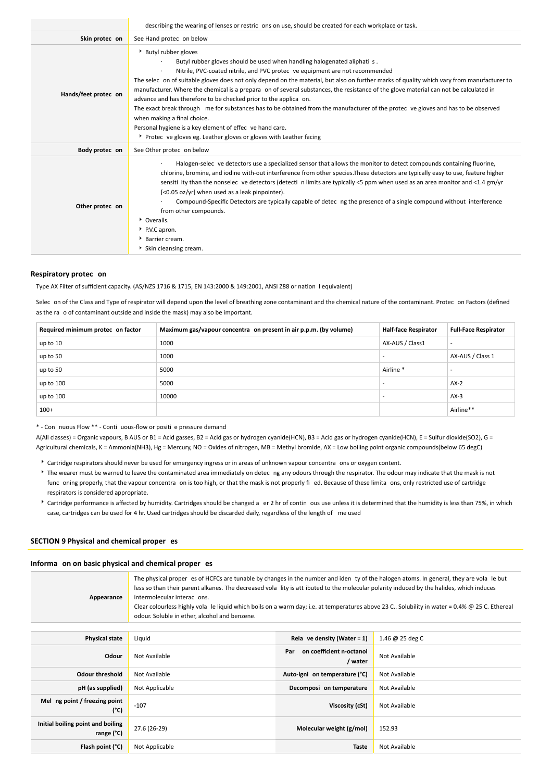|                      | describing the wearing of lenses or restric ons on use, should be created for each workplace or task.                                                                                                                                                                                                                                                                                                                                                                                                                                                                                                                                                                                                                                                                                                                                             |  |  |
|----------------------|---------------------------------------------------------------------------------------------------------------------------------------------------------------------------------------------------------------------------------------------------------------------------------------------------------------------------------------------------------------------------------------------------------------------------------------------------------------------------------------------------------------------------------------------------------------------------------------------------------------------------------------------------------------------------------------------------------------------------------------------------------------------------------------------------------------------------------------------------|--|--|
| Skin protec on       | See Hand protec on below                                                                                                                                                                                                                                                                                                                                                                                                                                                                                                                                                                                                                                                                                                                                                                                                                          |  |  |
| Hands/feet protec on | Butyl rubber gloves<br>Butyl rubber gloves should be used when handling halogenated aliphati s.<br>Nitrile, PVC-coated nitrile, and PVC protec ve equipment are not recommended<br>The selec on of suitable gloves does not only depend on the material, but also on further marks of quality which vary from manufacturer to<br>manufacturer. Where the chemical is a prepara on of several substances, the resistance of the glove material can not be calculated in<br>advance and has therefore to be checked prior to the applica on.<br>The exact break through me for substances has to be obtained from the manufacturer of the protec ve gloves and has to be observed<br>when making a final choice.<br>Personal hygiene is a key element of effec ve hand care.<br>▶ Protec ve gloves eg. Leather gloves or gloves with Leather facing |  |  |
| Body protec on       | See Other protec on below                                                                                                                                                                                                                                                                                                                                                                                                                                                                                                                                                                                                                                                                                                                                                                                                                         |  |  |
| Other protec on      | Halogen-selec ve detectors use a specialized sensor that allows the monitor to detect compounds containing fluorine,<br>chlorine, bromine, and iodine with-out interference from other species. These detectors are typically easy to use, feature higher<br>sensiti ity than the nonselec ve detectors (detecti n limits are typically <5 ppm when used as an area monitor and <1.4 gm/yr<br>[<0.05 oz/yr] when used as a leak pinpointer).<br>Compound-Specific Detectors are typically capable of detec ng the presence of a single compound without interference<br>from other compounds.<br>* Overalls.<br>P.V.C apron.<br>Barrier cream.<br>Skin cleansing cream.                                                                                                                                                                           |  |  |

### **Respiratory protec on**

Type AX Filter of sufficient capacity. (AS/NZS 1716 & 1715, EN 143:2000 & 149:2001, ANSI Z88 or nation l equivalent)

Selec on of the Class and Type of respirator will depend upon the level of breathing zone contaminant and the chemical nature of the contaminant. Protec on Factors (defined as the ra o of contaminant outside and inside the mask) may also be important.

| Required minimum protec on factor | Maximum gas/vapour concentra on present in air p.p.m. (by volume) | <b>Half-face Respirator</b> | <b>Full-Face Respirator</b> |
|-----------------------------------|-------------------------------------------------------------------|-----------------------------|-----------------------------|
| up to 10                          | 1000                                                              | AX-AUS / Class1             | $\overline{\phantom{a}}$    |
| up to 50                          | 1000                                                              |                             | AX-AUS / Class 1            |
| up to 50                          | 5000                                                              | Airline <sup>*</sup>        |                             |
| up to 100                         | 5000                                                              |                             | $AX-2$                      |
| up to 100                         | 10000                                                             |                             | $AX-3$                      |
| $100+$                            |                                                                   |                             | Airline**                   |

\* - Con nuous Flow \*\* - Conti uous-flow or positi e pressure demand

A(All classes) = Organic vapours, B AUS or B1 = Acid gasses, B2 = Acid gas or hydrogen cyanide(HCN), B3 = Acid gas or hydrogen cyanide(HCN), E = Sulfur dioxide(SO2), G = Agricultural chemicals, K = Ammonia(NH3), Hg = Mercury, NO = Oxides of nitrogen, MB = Methyl bromide, AX = Low boiling point organic compounds(below 65 degC)

- Cartridge respirators should never be used for emergency ingress or in areas of unknown vapour concentra ons or oxygen content.
- ▶ The wearer must be warned to leave the contaminated area immediately on detec ng any odours through the respirator. The odour may indicate that the mask is not func oning properly, that the vapour concentra on is too high, or that the mask is not properly fi ed. Because of these limita ons, only restricted use of cartridge respirators is considered appropriate.
- Cartridge performance is affected by humidity. Cartridges should be changed a er 2 hr of contin ous use unless it is determined that the humidity is less than 75%, in which case, cartridges can be used for 4 hr. Used cartridges should be discarded daily, regardless of the length of me used

## **SECTION 9 Physical and chemical proper es**

## **Informa on on basic physical and chemical proper es**

| The physical proper es of HCFCs are tunable by changes in the number and iden ty of the halogen atoms. In general, they are vola le but<br>less so than their parent alkanes. The decreased vola lity is att ibuted to the molecular polarity induced by the halides, which induces<br>intermolecular interac ons.<br>Appearance<br>Clear colourless highly vola le liquid which boils on a warm day; i.e. at temperatures above 23 C Solubility in water = 0.4% @ 25 C. Ethereal<br>odour. Soluble in ether, alcohol and benzene. |                                                             |                                            |               |  |
|------------------------------------------------------------------------------------------------------------------------------------------------------------------------------------------------------------------------------------------------------------------------------------------------------------------------------------------------------------------------------------------------------------------------------------------------------------------------------------------------------------------------------------|-------------------------------------------------------------|--------------------------------------------|---------------|--|
|                                                                                                                                                                                                                                                                                                                                                                                                                                                                                                                                    |                                                             |                                            |               |  |
| <b>Physical state</b>                                                                                                                                                                                                                                                                                                                                                                                                                                                                                                              | Rela ve density (Water = $1$ )<br>1.46 @ 25 deg C<br>Liquid |                                            |               |  |
| Odour                                                                                                                                                                                                                                                                                                                                                                                                                                                                                                                              | Not Available                                               | on coefficient n-octanol<br>Par<br>/ water | Not Available |  |
| <b>Odour threshold</b>                                                                                                                                                                                                                                                                                                                                                                                                                                                                                                             | Not Available                                               | Auto-igni on temperature (°C)              | Not Available |  |
| pH (as supplied)                                                                                                                                                                                                                                                                                                                                                                                                                                                                                                                   | Not Applicable                                              | Decomposi on temperature                   | Not Available |  |
| Mel ng point / freezing point<br>(°C)                                                                                                                                                                                                                                                                                                                                                                                                                                                                                              | $-107$                                                      | Viscosity (cSt)                            | Not Available |  |
| Initial boiling point and boiling<br>range (°C)                                                                                                                                                                                                                                                                                                                                                                                                                                                                                    | 27.6 (26-29)                                                | Molecular weight (g/mol)                   | 152.93        |  |
| Flash point (°C)                                                                                                                                                                                                                                                                                                                                                                                                                                                                                                                   | Not Applicable                                              | Taste                                      | Not Available |  |
|                                                                                                                                                                                                                                                                                                                                                                                                                                                                                                                                    |                                                             |                                            |               |  |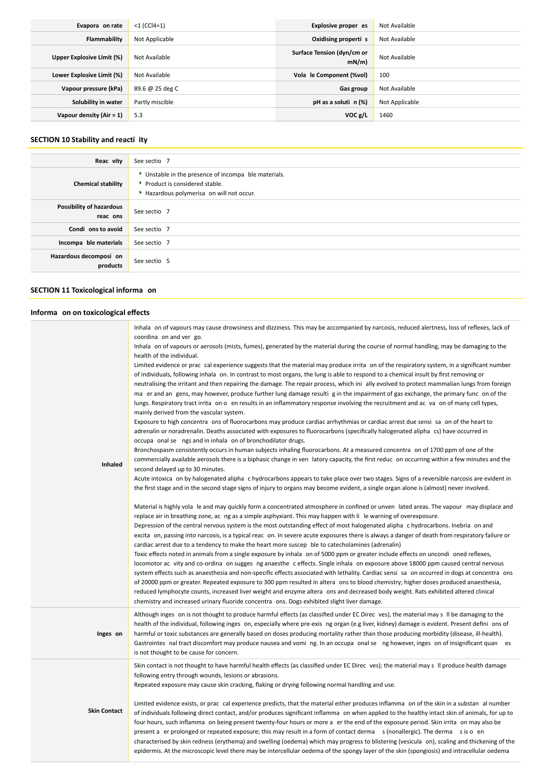| Evapora on rate            | $<$ 1 (CCl4=1)  | Explosive proper es                | Not Available  |
|----------------------------|-----------------|------------------------------------|----------------|
| Flammability               | Not Applicable  | Oxidising properti s               | Not Available  |
| Upper Explosive Limit (%)  | Not Available   | Surface Tension (dyn/cm or<br>mN/m | Not Available  |
| Lower Explosive Limit (%)  | Not Available   | Vola le Component (%vol)           | 100            |
| Vapour pressure (kPa)      | 89.6 @ 25 deg C | Gas group                          | Not Available  |
| Solubility in water        | Partly miscible | $pH$ as a soluti $n$ (%)           | Not Applicable |
| Vapour density $(Air = 1)$ | 5.3             | VOC g/L                            | 1460           |

# **SECTION 10 Stability and reacti ity**

| Reac vity                            | See sectio 7                                                                                                                     |
|--------------------------------------|----------------------------------------------------------------------------------------------------------------------------------|
| <b>Chemical stability</b>            | Unstable in the presence of incompa ble materials.<br>▶ Product is considered stable.<br>Hazardous polymerisa on will not occur. |
| Possibility of hazardous<br>reac ons | See sectio 7                                                                                                                     |
| Condi ons to avoid                   | See sectio 7                                                                                                                     |
| Incompa ble materials                | See sectio 7                                                                                                                     |
| Hazardous decomposi on<br>products   | See sectio 5                                                                                                                     |

# **SECTION 11 Toxicological informa on**

# **Informa on on toxicological effects**

| Inhaled             | Inhala on of vapours may cause drowsiness and dizziness. This may be accompanied by narcosis, reduced alertness, loss of reflexes, lack of<br>coordina on and ver go.<br>Inhala on of vapours or aerosols (mists, fumes), generated by the material during the course of normal handling, may be damaging to the<br>health of the individual.<br>Limited evidence or prac cal experience suggests that the material may produce irrita on of the respiratory system, in a significant number<br>of individuals, following inhala on. In contrast to most organs, the lung is able to respond to a chemical insult by first removing or<br>neutralising the irritant and then repairing the damage. The repair process, which ini ally evolved to protect mammalian lungs from foreign<br>ma er and an gens, may however, produce further lung damage resulti g in the impairment of gas exchange, the primary func on of the<br>lungs. Respiratory tract irrita on o en results in an inflammatory response involving the recruitment and ac va on of many cell types,<br>mainly derived from the vascular system.<br>Exposure to high concentra ons of fluorocarbons may produce cardiac arrhythmias or cardiac arrest due sensi sa on of the heart to<br>adrenalin or noradrenalin. Deaths associated with exposures to fluorocarbons (specifically halogenated alipha cs) have occurred in<br>occupa onal se ngs and in inhala on of bronchodilator drugs.<br>Bronchospasm consistently occurs in human subjects inhaling fluorocarbons. At a measured concentra on of 1700 ppm of one of the<br>commercially available aerosols there is a biphasic change in ven latory capacity, the first reduc on occurring within a few minutes and the<br>second delayed up to 30 minutes.<br>Acute intoxica on by halogenated alipha chydrocarbons appears to take place over two stages. Signs of a reversible narcosis are evident in<br>the first stage and in the second stage signs of injury to organs may become evident, a single organ alone is (almost) never involved.<br>Material is highly vola le and may quickly form a concentrated atmosphere in confined or unven lated areas. The vapour may displace and<br>replace air in breathing zone, ac ng as a simple asphyxiant. This may happen with li le warning of overexposure.<br>Depression of the central nervous system is the most outstanding effect of most halogenated alipha c hydrocarbons. Inebria on and<br>excita on, passing into narcosis, is a typical reac on. In severe acute exposures there is always a danger of death from respiratory failure or<br>cardiac arrest due to a tendency to make the heart more suscep ble to catecholamines (adrenalin)<br>Toxic effects noted in animals from a single exposure by inhala on of 5000 ppm or greater include effects on uncondi oned reflexes,<br>locomotor ac vity and co-ordina on sugges ng anaesthe c effects. Single inhala on exposure above 18000 ppm caused central nervous<br>system effects such as anaesthesia and non-specific effects associated with lethality. Cardiac sensi sa on occurred in dogs at concentra ons |
|---------------------|---------------------------------------------------------------------------------------------------------------------------------------------------------------------------------------------------------------------------------------------------------------------------------------------------------------------------------------------------------------------------------------------------------------------------------------------------------------------------------------------------------------------------------------------------------------------------------------------------------------------------------------------------------------------------------------------------------------------------------------------------------------------------------------------------------------------------------------------------------------------------------------------------------------------------------------------------------------------------------------------------------------------------------------------------------------------------------------------------------------------------------------------------------------------------------------------------------------------------------------------------------------------------------------------------------------------------------------------------------------------------------------------------------------------------------------------------------------------------------------------------------------------------------------------------------------------------------------------------------------------------------------------------------------------------------------------------------------------------------------------------------------------------------------------------------------------------------------------------------------------------------------------------------------------------------------------------------------------------------------------------------------------------------------------------------------------------------------------------------------------------------------------------------------------------------------------------------------------------------------------------------------------------------------------------------------------------------------------------------------------------------------------------------------------------------------------------------------------------------------------------------------------------------------------------------------------------------------------------------------------------------------------------------------------------------------------------------------------------------------------------------------------------------------------------------------------------------------------------------------------------------------------------------------------------------------------------------------------------------------------------------------------------------------------------------------------------------------------------------------------------------------------------------------------|
|                     | of 20000 ppm or greater. Repeated exposure to 300 ppm resulted in altera ons to blood chemistry; higher doses produced anaesthesia,<br>reduced lymphocyte counts, increased liver weight and enzyme altera ons and decreased body weight. Rats exhibited altered clinical<br>chemistry and increased urinary fluoride concentra ons. Dogs exhibited slight liver damage.                                                                                                                                                                                                                                                                                                                                                                                                                                                                                                                                                                                                                                                                                                                                                                                                                                                                                                                                                                                                                                                                                                                                                                                                                                                                                                                                                                                                                                                                                                                                                                                                                                                                                                                                                                                                                                                                                                                                                                                                                                                                                                                                                                                                                                                                                                                                                                                                                                                                                                                                                                                                                                                                                                                                                                                            |
| Inges on            | Although inges on is not thought to produce harmful effects (as classified under EC Direc ves), the material may s II be damaging to the<br>health of the individual, following inges on, especially where pre-exis ng organ (e.g liver, kidney) damage is evident. Present defini ons of<br>harmful or toxic substances are generally based on doses producing mortality rather than those producing morbidity (disease, ill-health).<br>Gastrointes nal tract discomfort may produce nausea and voming. In an occupa onal se ng however, inges on of insignificant quan es<br>is not thought to be cause for concern.                                                                                                                                                                                                                                                                                                                                                                                                                                                                                                                                                                                                                                                                                                                                                                                                                                                                                                                                                                                                                                                                                                                                                                                                                                                                                                                                                                                                                                                                                                                                                                                                                                                                                                                                                                                                                                                                                                                                                                                                                                                                                                                                                                                                                                                                                                                                                                                                                                                                                                                                             |
| <b>Skin Contact</b> | Skin contact is not thought to have harmful health effects (as classified under EC Direc ves); the material may s Il produce health damage<br>following entry through wounds, lesions or abrasions.<br>Repeated exposure may cause skin cracking, flaking or drying following normal handling and use.<br>Limited evidence exists, or prac cal experience predicts, that the material either produces inflamma on of the skin in a substan al number<br>of individuals following direct contact, and/or produces significant inflamma on when applied to the healthy intact skin of animals, for up to<br>four hours, such inflamma on being present twenty-four hours or more a er the end of the exposure period. Skin irrita on may also be<br>present a er prolonged or repeated exposure; this may result in a form of contact derma s (nonallergic). The derma s is o en                                                                                                                                                                                                                                                                                                                                                                                                                                                                                                                                                                                                                                                                                                                                                                                                                                                                                                                                                                                                                                                                                                                                                                                                                                                                                                                                                                                                                                                                                                                                                                                                                                                                                                                                                                                                                                                                                                                                                                                                                                                                                                                                                                                                                                                                                      |
|                     | characterised by skin redness (erythema) and swelling (oedema) which may progress to blistering (vesicula on), scaling and thickening of the<br>epidermis. At the microscopic level there may be intercellular oedema of the spongy layer of the skin (spongiosis) and intracellular oedema                                                                                                                                                                                                                                                                                                                                                                                                                                                                                                                                                                                                                                                                                                                                                                                                                                                                                                                                                                                                                                                                                                                                                                                                                                                                                                                                                                                                                                                                                                                                                                                                                                                                                                                                                                                                                                                                                                                                                                                                                                                                                                                                                                                                                                                                                                                                                                                                                                                                                                                                                                                                                                                                                                                                                                                                                                                                         |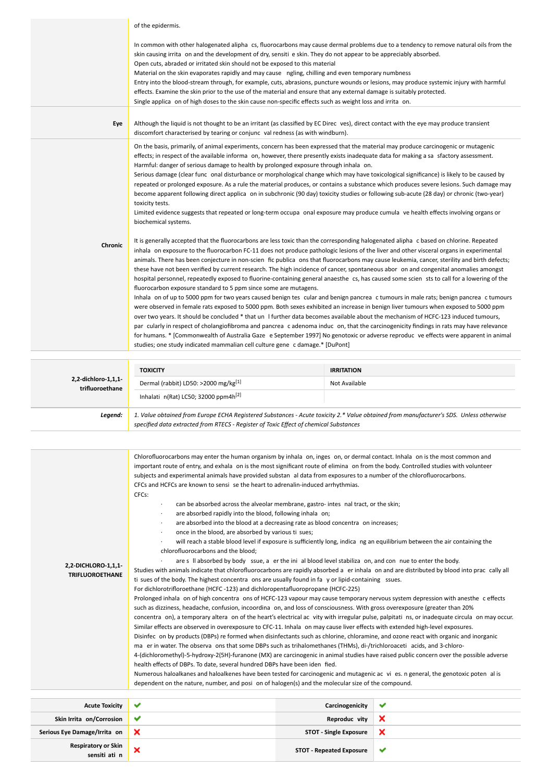|                     | of the epidermis.                                                                                                                                                                                                                                                                                                                                                                                                                                                                                                                                                                                                                                                                                                                                                                                                                                                                                                                                                                                                                                                                                                                                                                                                                                                                                                                                                                                                                                                                                                                                                                                                                                                                                                                                                                                                                                                                                                                                                                                                                                                                                                                                                                                                                                                                                                                                                                                                                                                                                                                                                             |                   |  |
|---------------------|-------------------------------------------------------------------------------------------------------------------------------------------------------------------------------------------------------------------------------------------------------------------------------------------------------------------------------------------------------------------------------------------------------------------------------------------------------------------------------------------------------------------------------------------------------------------------------------------------------------------------------------------------------------------------------------------------------------------------------------------------------------------------------------------------------------------------------------------------------------------------------------------------------------------------------------------------------------------------------------------------------------------------------------------------------------------------------------------------------------------------------------------------------------------------------------------------------------------------------------------------------------------------------------------------------------------------------------------------------------------------------------------------------------------------------------------------------------------------------------------------------------------------------------------------------------------------------------------------------------------------------------------------------------------------------------------------------------------------------------------------------------------------------------------------------------------------------------------------------------------------------------------------------------------------------------------------------------------------------------------------------------------------------------------------------------------------------------------------------------------------------------------------------------------------------------------------------------------------------------------------------------------------------------------------------------------------------------------------------------------------------------------------------------------------------------------------------------------------------------------------------------------------------------------------------------------------------|-------------------|--|
|                     | In common with other halogenated alipha cs, fluorocarbons may cause dermal problems due to a tendency to remove natural oils from the<br>skin causing irrita on and the development of dry, sensiti e skin. They do not appear to be appreciably absorbed.<br>Open cuts, abraded or irritated skin should not be exposed to this material<br>Material on the skin evaporates rapidly and may cause ngling, chilling and even temporary numbness<br>Entry into the blood-stream through, for example, cuts, abrasions, puncture wounds or lesions, may produce systemic injury with harmful<br>effects. Examine the skin prior to the use of the material and ensure that any external damage is suitably protected.<br>Single applica on of high doses to the skin cause non-specific effects such as weight loss and irrita on.                                                                                                                                                                                                                                                                                                                                                                                                                                                                                                                                                                                                                                                                                                                                                                                                                                                                                                                                                                                                                                                                                                                                                                                                                                                                                                                                                                                                                                                                                                                                                                                                                                                                                                                                              |                   |  |
| Eye                 | Although the liquid is not thought to be an irritant (as classified by EC Direc ves), direct contact with the eye may produce transient<br>discomfort characterised by tearing or conjunc val redness (as with windburn).                                                                                                                                                                                                                                                                                                                                                                                                                                                                                                                                                                                                                                                                                                                                                                                                                                                                                                                                                                                                                                                                                                                                                                                                                                                                                                                                                                                                                                                                                                                                                                                                                                                                                                                                                                                                                                                                                                                                                                                                                                                                                                                                                                                                                                                                                                                                                     |                   |  |
| Chronic             | On the basis, primarily, of animal experiments, concern has been expressed that the material may produce carcinogenic or mutagenic<br>effects; in respect of the available informa on, however, there presently exists inadequate data for making a sa sfactory assessment.<br>Harmful: danger of serious damage to health by prolonged exposure through inhala on.<br>Serious damage (clear func onal disturbance or morphological change which may have toxicological significance) is likely to be caused by<br>repeated or prolonged exposure. As a rule the material produces, or contains a substance which produces severe lesions. Such damage may<br>become apparent following direct applica on in subchronic (90 day) toxicity studies or following sub-acute (28 day) or chronic (two-year)<br>toxicity tests.<br>Limited evidence suggests that repeated or long-term occupa onal exposure may produce cumula ve health effects involving organs or<br>biochemical systems.<br>It is generally accepted that the fluorocarbons are less toxic than the corresponding halogenated alipha c based on chlorine. Repeated<br>inhala on exposure to the fluorocarbon FC-11 does not produce pathologic lesions of the liver and other visceral organs in experimental<br>animals. There has been conjecture in non-scien fic publica ons that fluorocarbons may cause leukemia, cancer, sterility and birth defects;<br>these have not been verified by current research. The high incidence of cancer, spontaneous abor on and congenital anomalies amongst<br>hospital personnel, repeatedly exposed to fluorine-containing general anaesthe cs, has caused some scien sts to call for a lowering of the<br>fluorocarbon exposure standard to 5 ppm since some are mutagens.<br>Inhala on of up to 5000 ppm for two years caused benign tes cular and benign pancrea c tumours in male rats; benign pancrea c tumours<br>were observed in female rats exposed to 5000 ppm. Both sexes exhibited an increase in benign liver tumours when exposed to 5000 ppm<br>over two years. It should be concluded * that un I further data becomes available about the mechanism of HCFC-123 induced tumours,<br>par cularly in respect of cholangiofibroma and pancrea cadenoma induc on, that the carcinogenicity findings in rats may have relevance<br>for humans. * [Commonwealth of Australia Gaze e September 1997] No genotoxic or adverse reproduc ve effects were apparent in animal<br>studies; one study indicated mammalian cell culture gene c damage.* [DuPont] |                   |  |
|                     | <b>TOXICITY</b>                                                                                                                                                                                                                                                                                                                                                                                                                                                                                                                                                                                                                                                                                                                                                                                                                                                                                                                                                                                                                                                                                                                                                                                                                                                                                                                                                                                                                                                                                                                                                                                                                                                                                                                                                                                                                                                                                                                                                                                                                                                                                                                                                                                                                                                                                                                                                                                                                                                                                                                                                               | <b>IRRITATION</b> |  |
| 2,2-dichloro-1,1,1- | Dermal (rabbit) LD50: >2000 mg/kg[1]                                                                                                                                                                                                                                                                                                                                                                                                                                                                                                                                                                                                                                                                                                                                                                                                                                                                                                                                                                                                                                                                                                                                                                                                                                                                                                                                                                                                                                                                                                                                                                                                                                                                                                                                                                                                                                                                                                                                                                                                                                                                                                                                                                                                                                                                                                                                                                                                                                                                                                                                          | Not Available     |  |
| trifluoroethane     | Inhalati n(Rat) LC50; 32000 ppm4h <sup>[2]</sup>                                                                                                                                                                                                                                                                                                                                                                                                                                                                                                                                                                                                                                                                                                                                                                                                                                                                                                                                                                                                                                                                                                                                                                                                                                                                                                                                                                                                                                                                                                                                                                                                                                                                                                                                                                                                                                                                                                                                                                                                                                                                                                                                                                                                                                                                                                                                                                                                                                                                                                                              |                   |  |
| Legend:             | 1. Value obtained from Europe ECHA Registered Substances - Acute toxicity 2.* Value obtained from manufacturer's SDS. Unless otherwise<br>specified data extracted from RTECS - Register of Toxic Effect of chemical Substances                                                                                                                                                                                                                                                                                                                                                                                                                                                                                                                                                                                                                                                                                                                                                                                                                                                                                                                                                                                                                                                                                                                                                                                                                                                                                                                                                                                                                                                                                                                                                                                                                                                                                                                                                                                                                                                                                                                                                                                                                                                                                                                                                                                                                                                                                                                                               |                   |  |
|                     |                                                                                                                                                                                                                                                                                                                                                                                                                                                                                                                                                                                                                                                                                                                                                                                                                                                                                                                                                                                                                                                                                                                                                                                                                                                                                                                                                                                                                                                                                                                                                                                                                                                                                                                                                                                                                                                                                                                                                                                                                                                                                                                                                                                                                                                                                                                                                                                                                                                                                                                                                                               |                   |  |
|                     | Chlorofluorocarbons may enter the human organism by inhala on, inges on, or dermal contact. Inhala on is the most common and<br>important route of entry, and exhala on is the most significant route of elimina on from the body. Controlled studies with volunteer                                                                                                                                                                                                                                                                                                                                                                                                                                                                                                                                                                                                                                                                                                                                                                                                                                                                                                                                                                                                                                                                                                                                                                                                                                                                                                                                                                                                                                                                                                                                                                                                                                                                                                                                                                                                                                                                                                                                                                                                                                                                                                                                                                                                                                                                                                          |                   |  |

subjects and experimental animals have provided substan al data from exposures to a number of the chlorofluorocarbons. CFCs and HCFCs are known to sensi se the heart to adrenalin-induced arrhythmias.

CFCs:

- can be absorbed across the alveolar membrane, gastro- intes nal tract, or the skin;
- are absorbed rapidly into the blood, following inhala on;
- are absorbed into the blood at a decreasing rate as blood concentra on increases;
- once in the blood, are absorbed by various ti sues;
- will reach a stable blood level if exposure is sufficiently long, indica ng an equilibrium between the air containing the chlorofluorocarbons and the blood;

**2,2-DICHLORO-1,1,1- TRIFLUOROETHANE**

Studies with animals indicate that chlorofluorocarbons are rapidly absorbed a er inhala on and are distributed by blood into prac cally all ti sues of the body. The highest concentra ons are usually found in fa y or lipid-containing ssues.

are s II absorbed by body ssue, a er the ini al blood level stabiliza on, and con nue to enter the body.

For dichlorotrifloroethane (HCFC -123) and dichloropentafluoropropane (HCFC-225)

Prolonged inhala on of high concentra ons of HCFC-123 vapour may cause temporary nervous system depression with anesthe c effects such as dizziness, headache, confusion, incoordina on, and loss of consciousness. With gross overexposure (greater than 20% concentra on), a temporary altera on of the heart's electrical ac vity with irregular pulse, palpitati ns, or inadequate circula on may occur. Similar effects are observed in overexposure to CFC-11. Inhala on may cause liver effects with extended high-level exposures. Disinfec on by products (DBPs) re formed when disinfectants such as chlorine, chloramine, and ozone react with organic and inorganic ma er in water. The observa ons that some DBPs such as trihalomethanes (THMs), di-/trichloroaceti acids, and 3-chloro-

4-(dichloromethyl)-5-hydroxy-2(5H)-furanone (MX) are carcinogenic in animal studies have raised public concern over the possible adverse health effects of DBPs. To date, several hundred DBPs have been iden fied.

Numerous haloalkanes and haloalkenes have been tested for carcinogenic and mutagenic ac vi es. n general, the genotoxic poten al is dependent on the nature, number, and posi on of halogen(s) and the molecular size of the compound.

| <b>Acute Toxicity</b>                       | Carcinogenicity                 | $\overline{\phantom{a}}$ |
|---------------------------------------------|---------------------------------|--------------------------|
| Skin Irrita on/Corrosion                    | Reproduc vity                   |                          |
| Serious Eye Damage/Irrita on                | <b>STOT - Single Exposure</b>   |                          |
| <b>Respiratory or Skin</b><br>sensiti ati n | <b>STOT - Repeated Exposure</b> | $\sim$                   |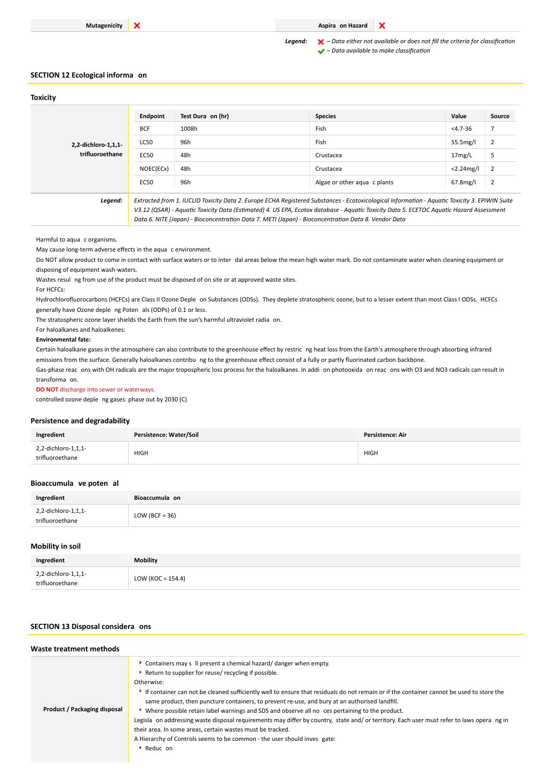## **Mutagenicity X Aspira on Hazard**

*Legend: – Data either not available or does not fill the criteria for classification – Data available to make classification*

 $\mathbf x$ 

## **SECTION 12 Ecological informa on**

### **Toxicity**

| 2,2-dichloro-1,1,1-<br>trifluoroethane | Endpoint                                                                                                                                      | Test Dura on (hr) | <b>Species</b>               | Value        | Source         |
|----------------------------------------|-----------------------------------------------------------------------------------------------------------------------------------------------|-------------------|------------------------------|--------------|----------------|
|                                        | <b>BCF</b>                                                                                                                                    | 1008h             | Fish                         | $<$ 4.7-36   |                |
|                                        | LC50                                                                                                                                          | 96h               | Fish                         | 55.5mg/l     | $\overline{2}$ |
|                                        | <b>EC50</b>                                                                                                                                   | 48h               | Crustacea                    | 17mg/L       | 5              |
|                                        | NOEC(ECx)                                                                                                                                     | 48h               | Crustacea                    | $<$ 2.24mg/l | $\overline{2}$ |
|                                        | EC50                                                                                                                                          | 96h               | Algae or other agua c plants | $67.8$ mg/l  | $\overline{2}$ |
| Legend:                                | Extracted from 1. IUCLID Toxicity Data 2. Europe ECHA Registered Substances - Ecotoxicological Information - Aquatic Toxicity 3. EPIWIN Suite |                   |                              |              |                |

*V3.12 (QSAR) - Aquatic Toxicity Data (Estimated) 4. US EPA, Ecotox database - Aquatic Toxicity Data 5. ECETOC Aquatic Hazard Assessment Data 6. NITE (Japan) - Bioconcentration Data 7. METI (Japan) - Bioconcentration Data 8. Vendor Data*

Harmful to aqua c organisms.

May cause long-term adverse effects in the aqua c environment.

Do NOT allow product to come in contact with surface waters or to inter dal areas below the mean high water mark. Do not contaminate water when cleaning equipment or disposing of equipment wash-waters.

Wastes resul ng from use of the product must be disposed of on site or at approved waste sites.

For HCFCs:

Hydrochlorofluorocarbons (HCFCs) are Class II Ozone Deple on Substances (ODSs). They deplete stratospheric ozone, but to a lesser extent than most Class I ODSs. HCFCs generally have Ozone deple ng Poten als (ODPs) of 0.1 or less.

The stratospheric ozone layer shields the Earth from the sun's harmful ultraviolet radia on.

For haloalkanes and haloalkenes:

### **Environmental fate:**

Certain haloalkane gases in the atmosphere can also contribute to the greenhouse effect by restric ng heat loss from the Earth's atmosphere through absorbing infrared emissions from the surface. Generally haloalkanes contribu ng to the greenhouse effect consist of a fully or partly fluorinated carbon backbone.

Gas-phase reac ons with OH radicals are the major tropospheric loss process for the haloalkanes. In addi on photooxida on reac ons with O3 and NO3 radicals can result in transforma on.

### **DO NOT** discharge into sewer or waterways.

controlled ozone deple ng gases: phase out by 2030 (C)

### **Persistence and degradability**

| Ingredient                             | Persistence: Water/Soil | <b>Persistence: Air</b> |
|----------------------------------------|-------------------------|-------------------------|
| 2,2-dichloro-1,1,1-<br>trifluoroethane | <b>HIGH</b><br>$\sim$   | <b>HIGH</b>             |

#### **Bioaccumula ve poten al**

| Ingredient                             | Bioaccumula on    |
|----------------------------------------|-------------------|
| 2,2-dichloro-1,1,1-<br>trifluoroethane | LOW (BCF = $36$ ) |

### **Mobility in soil**

| Ingredient                             | <b>Mobility</b>      |
|----------------------------------------|----------------------|
| 2,2-dichloro-1,1,1-<br>trifluoroethane | LOW (KOC = $154.4$ ) |

### **SECTION 13 Disposal considera ons**

| Waste treatment methods      |                                                                                                                                                                                                                                                                                                                                                                                                                                                                                                                                                                                                                                                                                                                                                                                              |
|------------------------------|----------------------------------------------------------------------------------------------------------------------------------------------------------------------------------------------------------------------------------------------------------------------------------------------------------------------------------------------------------------------------------------------------------------------------------------------------------------------------------------------------------------------------------------------------------------------------------------------------------------------------------------------------------------------------------------------------------------------------------------------------------------------------------------------|
| Product / Packaging disposal | Containers may s II present a chemical hazard/danger when empty.<br>Return to supplier for reuse/ recycling if possible.<br>Otherwise:<br>If container can not be cleaned sufficiently well to ensure that residuals do not remain or if the container cannot be used to store the<br>same product, then puncture containers, to prevent re-use, and bury at an authorised landfill.<br>▶ Where possible retain label warnings and SDS and observe all no ces pertaining to the product.<br>Legisla on addressing waste disposal requirements may differ by country, state and/ or territory. Each user must refer to laws opera ng in<br>their area. In some areas, certain wastes must be tracked.<br>A Hierarchy of Controls seems to be common - the user should inves gate:<br>Reduc on |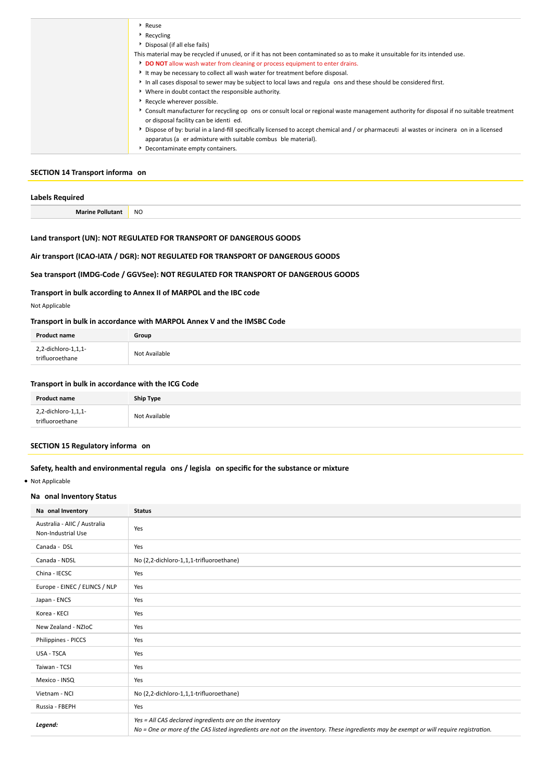| Reuse                                                                                                                                     |
|-------------------------------------------------------------------------------------------------------------------------------------------|
| Recycling                                                                                                                                 |
| Disposal (if all else fails)                                                                                                              |
| This material may be recycled if unused, or if it has not been contaminated so as to make it unsuitable for its intended use.             |
| DO NOT allow wash water from cleaning or process equipment to enter drains.                                                               |
| It may be necessary to collect all wash water for treatment before disposal.                                                              |
| In all cases disposal to sewer may be subject to local laws and regula ons and these should be considered first.                          |
| Where in doubt contact the responsible authority.                                                                                         |
| Recycle wherever possible.                                                                                                                |
| * Consult manufacturer for recycling op ons or consult local or regional waste management authority for disposal if no suitable treatment |
| or disposal facility can be identi ed.                                                                                                    |
| Dispose of by: burial in a land-fill specifically licensed to accept chemical and / or pharmaceuti al wastes or incinera on in a licensed |
| apparatus (a er admixture with suitable combus ble material).                                                                             |
| Decontaminate empty containers.                                                                                                           |

## **SECTION 14 Transport informa on**

| Labels Req           |           |
|----------------------|-----------|
| <b>Marine Pollut</b> | <b>NO</b> |

# **Land transport (UN): NOT REGULATED FOR TRANSPORT OF DANGEROUS GOODS**

# **Air transport (ICAO-IATA / DGR): NOT REGULATED FOR TRANSPORT OF DANGEROUS GOODS**

# **Sea transport (IMDG-Code / GGVSee): NOT REGULATED FOR TRANSPORT OF DANGEROUS GOODS**

# **Transport in bulk according to Annex II of MARPOL and the IBC code**

Not Applicable

## **Transport in bulk in accordance with MARPOL Annex V and the IMSBC Code**

| <b>Product name</b>                    | Group         |
|----------------------------------------|---------------|
| 2,2-dichloro-1,1,1-<br>trifluoroethane | Not Available |

# **Transport in bulk in accordance with the ICG Code**

| <b>Product name</b>                    | Ship Type     |
|----------------------------------------|---------------|
| 2,2-dichloro-1,1,1-<br>trifluoroethane | Not Available |

# **SECTION 15 Regulatory informa on**

## **Safety, health and environmental regula ons / legisla on specific for the substance or mixture**

Not Applicable

### **Na onal Inventory Status**

| Na onal Inventory                                  | <b>Status</b>                                                                                                                                                                                     |  |  |
|----------------------------------------------------|---------------------------------------------------------------------------------------------------------------------------------------------------------------------------------------------------|--|--|
| Australia - AIIC / Australia<br>Non-Industrial Use | Yes                                                                                                                                                                                               |  |  |
| Canada - DSL                                       | Yes                                                                                                                                                                                               |  |  |
| Canada - NDSL                                      | No (2,2-dichloro-1,1,1-trifluoroethane)                                                                                                                                                           |  |  |
| China - IECSC                                      | Yes                                                                                                                                                                                               |  |  |
| Europe - EINEC / ELINCS / NLP                      | Yes                                                                                                                                                                                               |  |  |
| Japan - ENCS                                       | Yes                                                                                                                                                                                               |  |  |
| Korea - KECI                                       | Yes                                                                                                                                                                                               |  |  |
| New Zealand - NZIoC                                | Yes                                                                                                                                                                                               |  |  |
| Philippines - PICCS                                | Yes                                                                                                                                                                                               |  |  |
| USA - TSCA                                         | Yes                                                                                                                                                                                               |  |  |
| Taiwan - TCSI                                      | Yes                                                                                                                                                                                               |  |  |
| Mexico - INSQ                                      | Yes                                                                                                                                                                                               |  |  |
| Vietnam - NCI                                      | No (2,2-dichloro-1,1,1-trifluoroethane)                                                                                                                                                           |  |  |
| Russia - FBEPH                                     | Yes                                                                                                                                                                                               |  |  |
| Legend:                                            | Yes = All CAS declared ingredients are on the inventory<br>No = One or more of the CAS listed ingredients are not on the inventory. These ingredients may be exempt or will require registration. |  |  |